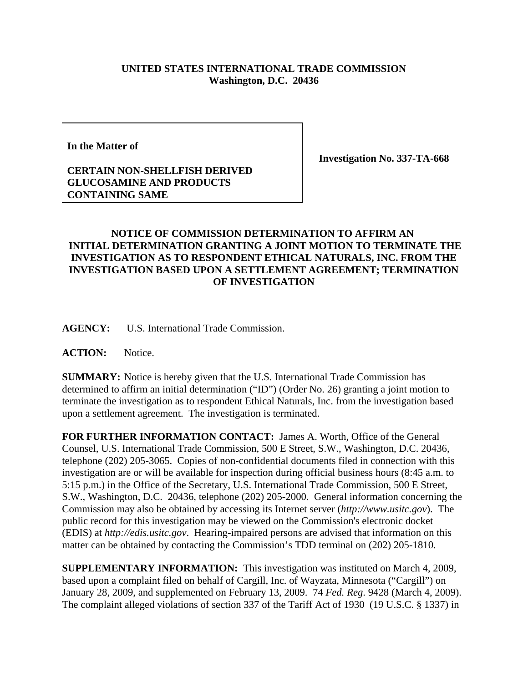## **UNITED STATES INTERNATIONAL TRADE COMMISSION Washington, D.C. 20436**

**In the Matter of**

## **CERTAIN NON-SHELLFISH DERIVED GLUCOSAMINE AND PRODUCTS CONTAINING SAME**

**Investigation No. 337-TA-668**

## **NOTICE OF COMMISSION DETERMINATION TO AFFIRM AN INITIAL DETERMINATION GRANTING A JOINT MOTION TO TERMINATE THE INVESTIGATION AS TO RESPONDENT ETHICAL NATURALS, INC. FROM THE INVESTIGATION BASED UPON A SETTLEMENT AGREEMENT; TERMINATION OF INVESTIGATION**

**AGENCY:** U.S. International Trade Commission.

**ACTION:** Notice.

**SUMMARY:** Notice is hereby given that the U.S. International Trade Commission has determined to affirm an initial determination ("ID") (Order No. 26) granting a joint motion to terminate the investigation as to respondent Ethical Naturals, Inc. from the investigation based upon a settlement agreement. The investigation is terminated.

**FOR FURTHER INFORMATION CONTACT:** James A. Worth, Office of the General Counsel, U.S. International Trade Commission, 500 E Street, S.W., Washington, D.C. 20436, telephone (202) 205-3065. Copies of non-confidential documents filed in connection with this investigation are or will be available for inspection during official business hours (8:45 a.m. to 5:15 p.m.) in the Office of the Secretary, U.S. International Trade Commission, 500 E Street, S.W., Washington, D.C. 20436, telephone (202) 205-2000. General information concerning the Commission may also be obtained by accessing its Internet server (*http://www.usitc.gov*). The public record for this investigation may be viewed on the Commission's electronic docket (EDIS) at *http://edis.usitc.gov*. Hearing-impaired persons are advised that information on this matter can be obtained by contacting the Commission's TDD terminal on (202) 205-1810.

**SUPPLEMENTARY INFORMATION:** This investigation was instituted on March 4, 2009, based upon a complaint filed on behalf of Cargill, Inc. of Wayzata, Minnesota ("Cargill") on January 28, 2009, and supplemented on February 13, 2009. 74 *Fed. Reg*. 9428 (March 4, 2009). The complaint alleged violations of section 337 of the Tariff Act of 1930 (19 U.S.C. § 1337) in